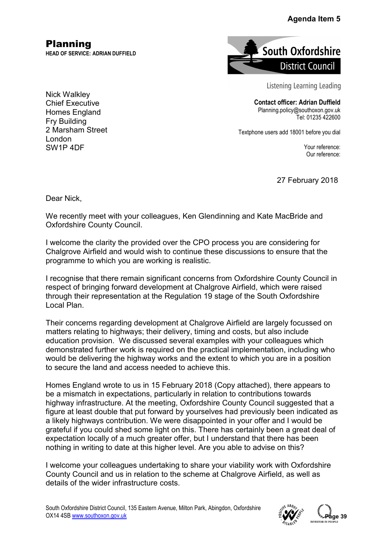## Agenda Item 5

Planning **HEAD OF SERVICE: ADRIAN DUFFIELD**



Listening Learning Leading

**Contact officer: Adrian Duffield** Planning.policy@southoxon.gov.uk Tel: 01235 422600

Textphone users add 18001 before you dial

Your reference: Our reference:

27 February 2018

Dear Nick,

We recently meet with your colleagues, Ken Glendinning and Kate MacBride and Oxfordshire County Council.

I welcome the clarity the provided over the CPO process you are considering for Chalgrove Airfield and would wish to continue these discussions to ensure that the programme to which you are working is realistic.

I recognise that there remain significant concerns from Oxfordshire County Council in respect of bringing forward development at Chalgrove Airfield, which were raised through their representation at the Regulation 19 stage of the South Oxfordshire Local Plan.

Their concerns regarding development at Chalgrove Airfield are largely focussed on matters relating to highways; their delivery, timing and costs, but also include education provision. We discussed several examples with your colleagues which demonstrated further work is required on the practical implementation, including who would be delivering the highway works and the extent to which you are in a position to secure the land and access needed to achieve this.

Homes England wrote to us in 15 February 2018 (Copy attached), there appears to be a mismatch in expectations, particularly in relation to contributions towards highway infrastructure. At the meeting, Oxfordshire County Council suggested that a figure at least double that put forward by yourselves had previously been indicated as a likely highways contribution. We were disappointed in your offer and I would be grateful if you could shed some light on this. There has certainly been a great deal of expectation locally of a much greater offer, but I understand that there has been nothing in writing to date at this higher level. Are you able to advise on this? **Pagenda Item 5**<br> **Pagenda Item 5**<br> **Page 12 Council** g Learning Leading<br>
cer: Adrian Duffield<br>
Tel: 01235 422600<br>
Tel: 01235 422600<br>
18001 before you dial<br>
Your reference:<br>
Our reference:<br>
Pebruary 2018<br>
CBride and<br>
der

I welcome your colleagues undertaking to share your viability work with Oxfordshire County Council and us in relation to the scheme at Chalgrove Airfield, as well as details of the wider infrastructure costs.

South Oxfordshire District Council, 135 Eastern Avenue, Milton Park, Abingdon, Oxfordshire OX14 4SB www.southoxon.gov.uk



Nick Walkley Chief Executive Homes England Fry Building 2 Marsham Street London SW1P 4DF